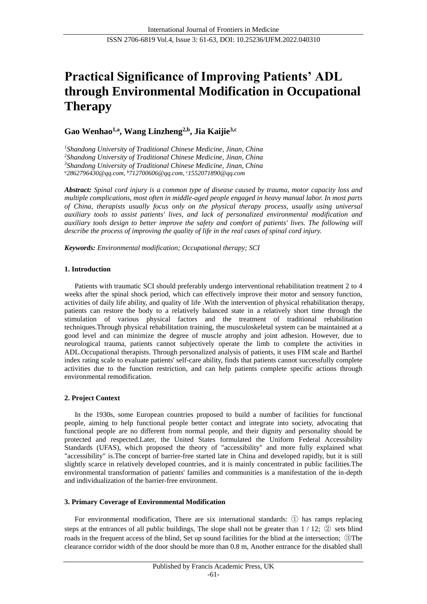# **Practical Significance of Improving Patients' ADL through Environmental Modification in Occupational Therapy**

**Gao Wenhao1,a , Wang Linzheng2,b , Jia Kaijie3,c**

*Shandong University of Traditional Chinese Medicine, Jinan, China Shandong University of Traditional Chinese Medicine, Jinan, China Shandong University of Traditional Chinese Medicine, Jinan, China <sup>a</sup>[2862796430@qq.com,](mailto:a2862796430@qq.com) <sup>b</sup>712700606@qq.com, <sup>c</sup>[1552071890@qq.com](mailto:,c1552071890@qq.com)*

*Abstract: Spinal cord injury is a common type of disease caused by trauma, motor capacity loss and multiple complications, most often in middle-aged people engaged in heavy manual labor. In most parts of China, therapists usually focus only on the physical therapy process, usually using universal auxiliary tools to assist patients' lives, and lack of personalized environmental modification and auxiliary tools design to better improve the safety and comfort of patients' lives. The following will describe the process of improving the quality of life in the real cases of spinal cord injury.*

*Keywords: Environmental modification; Occupational therapy; SCI*

## **1. Introduction**

Patients with traumatic SCI should preferably undergo interventional rehabilitation treatment 2 to 4 weeks after the spinal shock period, which can effectively improve their motor and sensory function, activities of daily life ability, and quality of life .With the intervention of physical rehabilitation therapy, patients can restore the body to a relatively balanced state in a relatively short time through the stimulation of various physical factors and the treatment of traditional rehabilitation techniques.Through physical rehabilitation training, the musculoskeletal system can be maintained at a good level and can minimize the degree of muscle atrophy and joint adhesion. However, due to neurological trauma, patients cannot subjectively operate the limb to complete the activities in ADL.Occupational therapists. Through personalized analysis of patients, it uses FIM scale and Barthel index rating scale to evaluate patients' self-care ability, finds that patients cannot successfully complete activities due to the function restriction, and can help patients complete specific actions through environmental remodification.

## **2. Project Context**

In the 1930s, some European countries proposed to build a number of facilities for functional people, aiming to help functional people better contact and integrate into society, advocating that functional people are no different from normal people, and their dignity and personality should be protected and respected.Later, the United States formulated the Uniform Federal Accessibility Standards (UFAS), which proposed the theory of "accessibility" and more fully explained what "accessibility" is.The concept of barrier-free started late in China and developed rapidly, but it is still slightly scarce in relatively developed countries, and it is mainly concentrated in public facilities.The environmental transformation of patients' families and communities is a manifestation of the in-depth and individualization of the barrier-free environment.

# **3. Primary Coverage of Environmental Modification**

For environmental modification, There are six international standards: ① has ramps replacing steps at the entrances of all public buildings, The slope shall not be greater than  $1/12$ ;  $\circled{2}$  sets blind roads in the frequent access of the blind, Set up sound facilities for the blind at the intersection; ③The clearance corridor width of the door should be more than 0.8 m, Another entrance for the disabled shall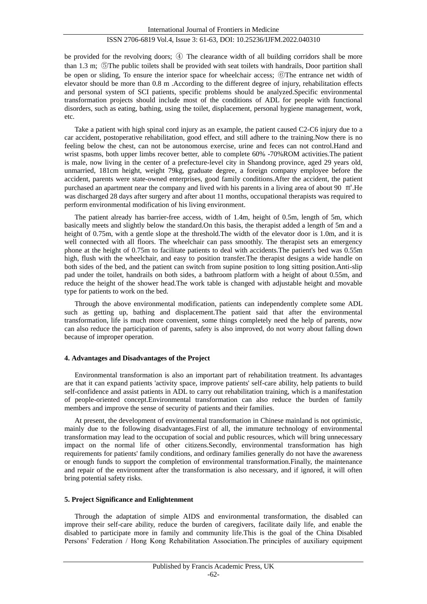## ISSN 2706-6819 Vol.4, Issue 3: 61-63, DOI: 10.25236/IJFM.2022.040310

be provided for the revolving doors; ④ The clearance width of all building corridors shall be more than 1.3 m; ⑤The public toilets shall be provided with seat toilets with handrails, Door partition shall be open or sliding, To ensure the interior space for wheelchair access; ⑥The entrance net width of elevator should be more than 0.8 m .According to the different degree of injury, rehabilitation effects and personal system of SCI patients, specific problems should be analyzed.Specific environmental transformation projects should include most of the conditions of ADL for people with functional disorders, such as eating, bathing, using the toilet, displacement, personal hygiene management, work, etc.

Take a patient with high spinal cord injury as an example, the patient caused C2-C6 injury due to a car accident, postoperative rehabilitation, good effect, and still adhere to the training.Now there is no feeling below the chest, can not be autonomous exercise, urine and feces can not control.Hand and wrist spasms, both upper limbs recover better, able to complete 60% -70%ROM activities.The patient is male, now living in the center of a prefecture-level city in Shandong province, aged 29 years old, unmarried, 181cm height, weight 79kg, graduate degree, a foreign company employee before the accident, parents were state-owned enterprises, good family conditions.After the accident, the patient purchased an apartment near the company and lived with his parents in a living area of about 90 ㎡.He was discharged 28 days after surgery and after about 11 months, occupational therapists was required to perform environmental modification of his living environment.

The patient already has barrier-free access, width of 1.4m, height of 0.5m, length of 5m, which basically meets and slightly below the standard.On this basis, the therapist added a length of 5m and a height of 0.75m, with a gentle slope at the threshold. The width of the elevator door is 1.0m, and it is well connected with all floors. The wheelchair can pass smoothly. The therapist sets an emergency phone at the height of 0.75m to facilitate patients to deal with accidents.The patient's bed was 0.55m high, flush with the wheelchair, and easy to position transfer.The therapist designs a wide handle on both sides of the bed, and the patient can switch from supine position to long sitting position.Anti-slip pad under the toilet, handrails on both sides, a bathroom platform with a height of about 0.55m, and reduce the height of the shower head.The work table is changed with adjustable height and movable type for patients to work on the bed.

Through the above environmental modification, patients can independently complete some ADL such as getting up, bathing and displacement.The patient said that after the environmental transformation, life is much more convenient, some things completely need the help of parents, now can also reduce the participation of parents, safety is also improved, do not worry about falling down because of improper operation.

#### **4. Advantages and Disadvantages of the Project**

Environmental transformation is also an important part of rehabilitation treatment. Its advantages are that it can expand patients 'activity space, improve patients' self-care ability, help patients to build self-confidence and assist patients in ADL to carry out rehabilitation training, which is a manifestation of people-oriented concept.Environmental transformation can also reduce the burden of family members and improve the sense of security of patients and their families.

At present, the development of environmental transformation in Chinese mainland is not optimistic, mainly due to the following disadvantages.First of all, the immature technology of environmental transformation may lead to the occupation of social and public resources, which will bring unnecessary impact on the normal life of other citizens.Secondly, environmental transformation has high requirements for patients' family conditions, and ordinary families generally do not have the awareness or enough funds to support the completion of environmental transformation.Finally, the maintenance and repair of the environment after the transformation is also necessary, and if ignored, it will often bring potential safety risks.

#### **5. Project Significance and Enlightenment**

Through the adaptation of simple AIDS and environmental transformation, the disabled can improve their self-care ability, reduce the burden of caregivers, facilitate daily life, and enable the disabled to participate more in family and community life.This is the goal of the China Disabled Persons' Federation / Hong Kong Rehabilitation Association.The principles of auxiliary equipment